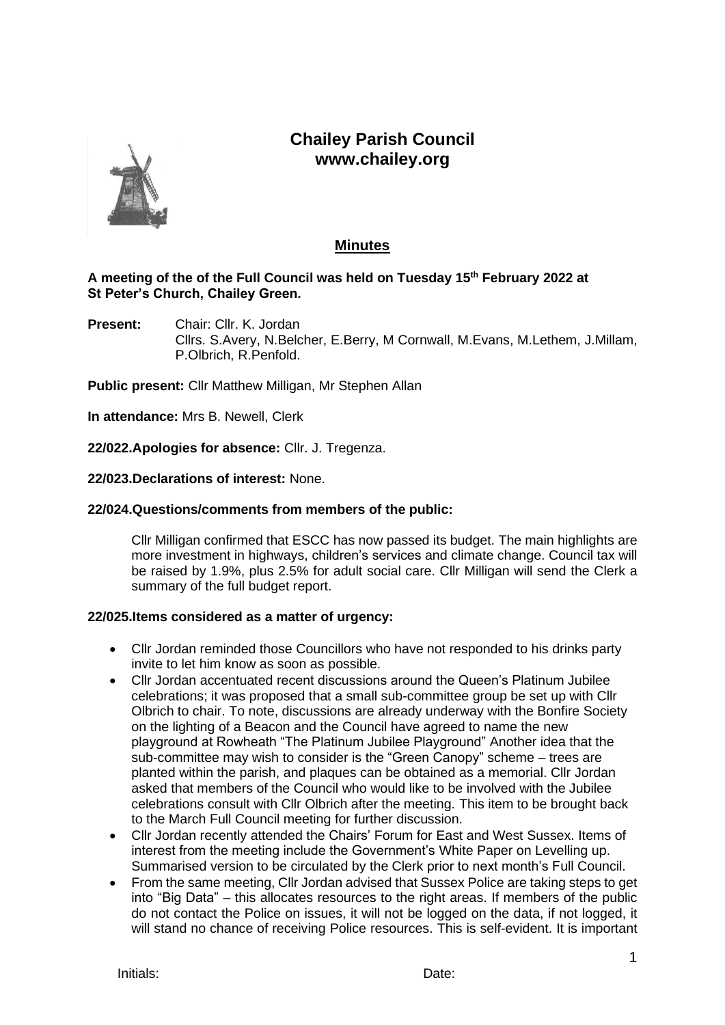# **Chailey Parish Council www.chailey.org**



# **Minutes**

# **A meeting of the of the Full Council was held on Tuesday 15th February 2022 at St Peter's Church, Chailey Green.**

**Present:** Chair: Cllr. K. Jordan Cllrs. S.Avery, N.Belcher, E.Berry, M Cornwall, M.Evans, M.Lethem, J.Millam, P.Olbrich, R.Penfold.

**Public present:** Cllr Matthew Milligan, Mr Stephen Allan

**In attendance:** Mrs B. Newell, Clerk

**22/022.Apologies for absence:** Cllr. J. Tregenza.

#### **22/023.Declarations of interest:** None.

#### **22/024.Questions/comments from members of the public:**

Cllr Milligan confirmed that ESCC has now passed its budget. The main highlights are more investment in highways, children's services and climate change. Council tax will be raised by 1.9%, plus 2.5% for adult social care. Cllr Milligan will send the Clerk a summary of the full budget report.

# **22/025.Items considered as a matter of urgency:**

- Cllr Jordan reminded those Councillors who have not responded to his drinks party invite to let him know as soon as possible.
- Cllr Jordan accentuated recent discussions around the Queen's Platinum Jubilee celebrations; it was proposed that a small sub-committee group be set up with Cllr Olbrich to chair. To note, discussions are already underway with the Bonfire Society on the lighting of a Beacon and the Council have agreed to name the new playground at Rowheath "The Platinum Jubilee Playground" Another idea that the sub-committee may wish to consider is the "Green Canopy" scheme – trees are planted within the parish, and plaques can be obtained as a memorial. Cllr Jordan asked that members of the Council who would like to be involved with the Jubilee celebrations consult with Cllr Olbrich after the meeting. This item to be brought back to the March Full Council meeting for further discussion.
- Cllr Jordan recently attended the Chairs' Forum for East and West Sussex. Items of interest from the meeting include the Government's White Paper on Levelling up. Summarised version to be circulated by the Clerk prior to next month's Full Council.
- From the same meeting, Cllr Jordan advised that Sussex Police are taking steps to get into "Big Data" – this allocates resources to the right areas. If members of the public do not contact the Police on issues, it will not be logged on the data, if not logged, it will stand no chance of receiving Police resources. This is self-evident. It is important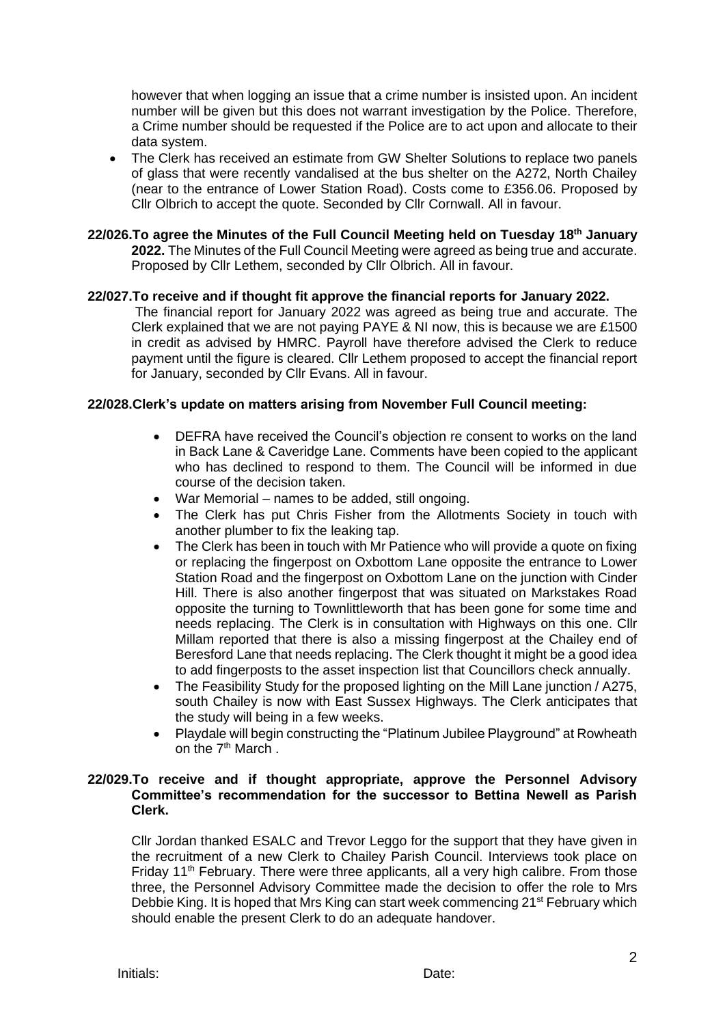however that when logging an issue that a crime number is insisted upon. An incident number will be given but this does not warrant investigation by the Police. Therefore, a Crime number should be requested if the Police are to act upon and allocate to their data system.

- The Clerk has received an estimate from GW Shelter Solutions to replace two panels of glass that were recently vandalised at the bus shelter on the A272, North Chailey (near to the entrance of Lower Station Road). Costs come to £356.06. Proposed by Cllr Olbrich to accept the quote. Seconded by Cllr Cornwall. All in favour.
- **22/026.To agree the Minutes of the Full Council Meeting held on Tuesday 18th January 2022.** The Minutes of the Full Council Meeting were agreed as being true and accurate. Proposed by Cllr Lethem, seconded by Cllr Olbrich. All in favour.

#### **22/027.To receive and if thought fit approve the financial reports for January 2022.**

The financial report for January 2022 was agreed as being true and accurate. The Clerk explained that we are not paying PAYE & NI now, this is because we are £1500 in credit as advised by HMRC. Payroll have therefore advised the Clerk to reduce payment until the figure is cleared. Cllr Lethem proposed to accept the financial report for January, seconded by Cllr Evans. All in favour.

#### **22/028.Clerk's update on matters arising from November Full Council meeting:**

- DEFRA have received the Council's objection re consent to works on the land in Back Lane & Caveridge Lane. Comments have been copied to the applicant who has declined to respond to them. The Council will be informed in due course of the decision taken.
- War Memorial names to be added, still ongoing.
- The Clerk has put Chris Fisher from the Allotments Society in touch with another plumber to fix the leaking tap.
- The Clerk has been in touch with Mr Patience who will provide a quote on fixing or replacing the fingerpost on Oxbottom Lane opposite the entrance to Lower Station Road and the fingerpost on Oxbottom Lane on the junction with Cinder Hill. There is also another fingerpost that was situated on Markstakes Road opposite the turning to Townlittleworth that has been gone for some time and needs replacing. The Clerk is in consultation with Highways on this one. Cllr Millam reported that there is also a missing fingerpost at the Chailey end of Beresford Lane that needs replacing. The Clerk thought it might be a good idea to add fingerposts to the asset inspection list that Councillors check annually.
- The Feasibility Study for the proposed lighting on the Mill Lane junction / A275, south Chailey is now with East Sussex Highways. The Clerk anticipates that the study will being in a few weeks.
- Playdale will begin constructing the "Platinum Jubilee Playground" at Rowheath on the 7th March .

# **22/029.To receive and if thought appropriate, approve the Personnel Advisory Committee's recommendation for the successor to Bettina Newell as Parish Clerk.**

Cllr Jordan thanked ESALC and Trevor Leggo for the support that they have given in the recruitment of a new Clerk to Chailey Parish Council. Interviews took place on Friday 11<sup>th</sup> February. There were three applicants, all a very high calibre. From those three, the Personnel Advisory Committee made the decision to offer the role to Mrs Debbie King. It is hoped that Mrs King can start week commencing  $21^{st}$  February which should enable the present Clerk to do an adequate handover.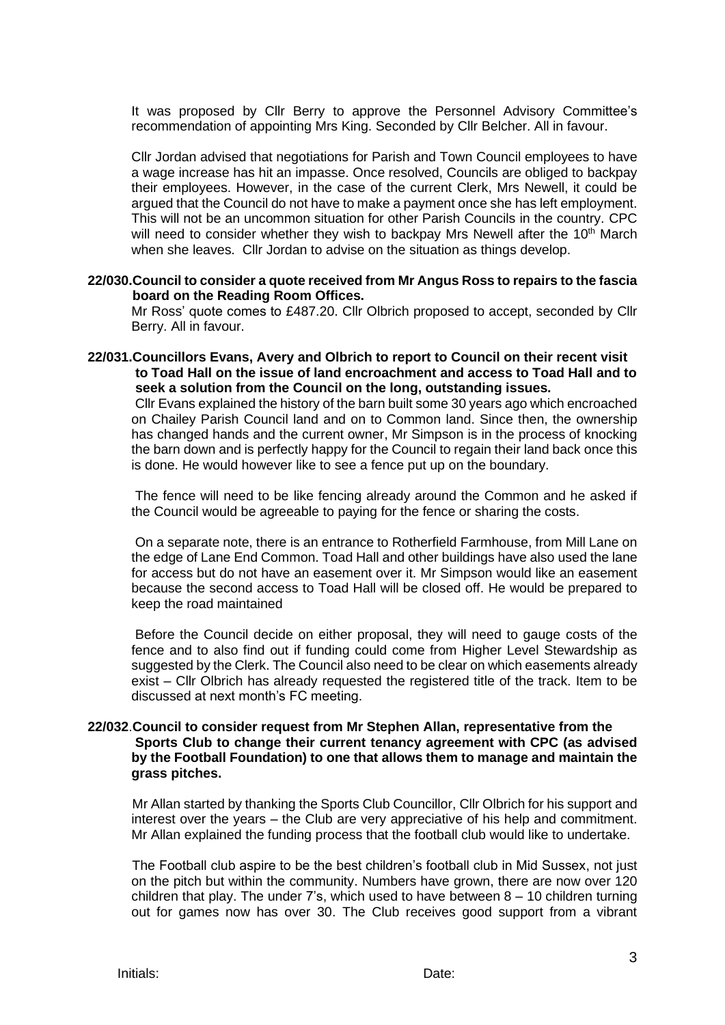It was proposed by Cllr Berry to approve the Personnel Advisory Committee's recommendation of appointing Mrs King. Seconded by Cllr Belcher. All in favour.

Cllr Jordan advised that negotiations for Parish and Town Council employees to have a wage increase has hit an impasse. Once resolved, Councils are obliged to backpay their employees. However, in the case of the current Clerk, Mrs Newell, it could be argued that the Council do not have to make a payment once she has left employment. This will not be an uncommon situation for other Parish Councils in the country. CPC will need to consider whether they wish to backpay Mrs Newell after the 10<sup>th</sup> March when she leaves. Cllr Jordan to advise on the situation as things develop.

#### **22/030.Council to consider a quote received from Mr Angus Ross to repairs to the fascia board on the Reading Room Offices.**

Mr Ross' quote comes to £487.20. Cllr Olbrich proposed to accept, seconded by Cllr Berry. All in favour.

**22/031.Councillors Evans, Avery and Olbrich to report to Council on their recent visit to Toad Hall on the issue of land encroachment and access to Toad Hall and to seek a solution from the Council on the long, outstanding issues.**

Cllr Evans explained the history of the barn built some 30 years ago which encroached on Chailey Parish Council land and on to Common land. Since then, the ownership has changed hands and the current owner, Mr Simpson is in the process of knocking the barn down and is perfectly happy for the Council to regain their land back once this is done. He would however like to see a fence put up on the boundary.

The fence will need to be like fencing already around the Common and he asked if the Council would be agreeable to paying for the fence or sharing the costs.

On a separate note, there is an entrance to Rotherfield Farmhouse, from Mill Lane on the edge of Lane End Common. Toad Hall and other buildings have also used the lane for access but do not have an easement over it. Mr Simpson would like an easement because the second access to Toad Hall will be closed off. He would be prepared to keep the road maintained

Before the Council decide on either proposal, they will need to gauge costs of the fence and to also find out if funding could come from Higher Level Stewardship as suggested by the Clerk. The Council also need to be clear on which easements already exist – Cllr Olbrich has already requested the registered title of the track. Item to be discussed at next month's FC meeting.

#### **22/032**.**Council to consider request from Mr Stephen Allan, representative from the Sports Club to change their current tenancy agreement with CPC (as advised by the Football Foundation) to one that allows them to manage and maintain the grass pitches.**

Mr Allan started by thanking the Sports Club Councillor, Cllr Olbrich for his support and interest over the years – the Club are very appreciative of his help and commitment. Mr Allan explained the funding process that the football club would like to undertake.

The Football club aspire to be the best children's football club in Mid Sussex, not just on the pitch but within the community. Numbers have grown, there are now over 120 children that play. The under 7's, which used to have between  $8 - 10$  children turning out for games now has over 30. The Club receives good support from a vibrant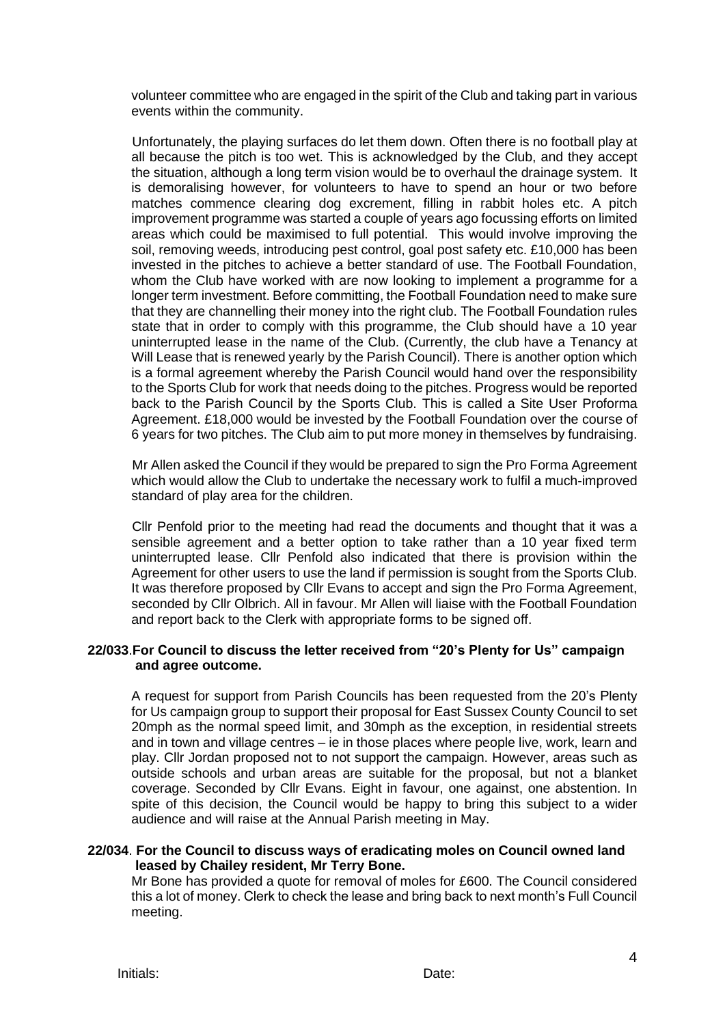volunteer committee who are engaged in the spirit of the Club and taking part in various events within the community.

Unfortunately, the playing surfaces do let them down. Often there is no football play at all because the pitch is too wet. This is acknowledged by the Club, and they accept the situation, although a long term vision would be to overhaul the drainage system. It is demoralising however, for volunteers to have to spend an hour or two before matches commence clearing dog excrement, filling in rabbit holes etc. A pitch improvement programme was started a couple of years ago focussing efforts on limited areas which could be maximised to full potential. This would involve improving the soil, removing weeds, introducing pest control, goal post safety etc. £10,000 has been invested in the pitches to achieve a better standard of use. The Football Foundation, whom the Club have worked with are now looking to implement a programme for a longer term investment. Before committing, the Football Foundation need to make sure that they are channelling their money into the right club. The Football Foundation rules state that in order to comply with this programme, the Club should have a 10 year uninterrupted lease in the name of the Club. (Currently, the club have a Tenancy at Will Lease that is renewed yearly by the Parish Council). There is another option which is a formal agreement whereby the Parish Council would hand over the responsibility to the Sports Club for work that needs doing to the pitches. Progress would be reported back to the Parish Council by the Sports Club. This is called a Site User Proforma Agreement. £18,000 would be invested by the Football Foundation over the course of 6 years for two pitches. The Club aim to put more money in themselves by fundraising.

Mr Allen asked the Council if they would be prepared to sign the Pro Forma Agreement which would allow the Club to undertake the necessary work to fulfil a much-improved standard of play area for the children.

Cllr Penfold prior to the meeting had read the documents and thought that it was a sensible agreement and a better option to take rather than a 10 year fixed term uninterrupted lease. Cllr Penfold also indicated that there is provision within the Agreement for other users to use the land if permission is sought from the Sports Club. It was therefore proposed by Cllr Evans to accept and sign the Pro Forma Agreement, seconded by Cllr Olbrich. All in favour. Mr Allen will liaise with the Football Foundation and report back to the Clerk with appropriate forms to be signed off.

#### **22/033**.**For Council to discuss the letter received from "20's Plenty for Us" campaign and agree outcome.**

A request for support from Parish Councils has been requested from the 20's Plenty for Us campaign group to support their proposal for East Sussex County Council to set 20mph as the normal speed limit, and 30mph as the exception, in residential streets and in town and village centres – ie in those places where people live, work, learn and play. Cllr Jordan proposed not to not support the campaign. However, areas such as outside schools and urban areas are suitable for the proposal, but not a blanket coverage. Seconded by Cllr Evans. Eight in favour, one against, one abstention. In spite of this decision, the Council would be happy to bring this subject to a wider audience and will raise at the Annual Parish meeting in May.

#### **22/034**. **For the Council to discuss ways of eradicating moles on Council owned land leased by Chailey resident, Mr Terry Bone.**

Mr Bone has provided a quote for removal of moles for £600. The Council considered this a lot of money. Clerk to check the lease and bring back to next month's Full Council meeting.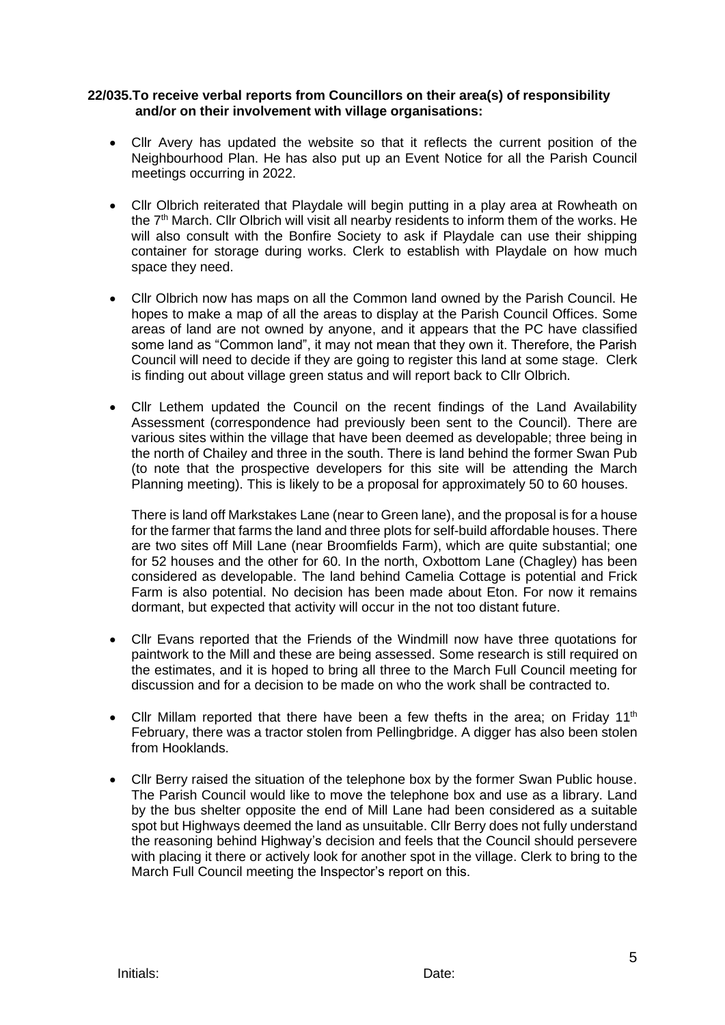# **22/035.To receive verbal reports from Councillors on their area(s) of responsibility and/or on their involvement with village organisations:**

- Cllr Avery has updated the website so that it reflects the current position of the Neighbourhood Plan. He has also put up an Event Notice for all the Parish Council meetings occurring in 2022.
- Cllr Olbrich reiterated that Playdale will begin putting in a play area at Rowheath on the  $7<sup>th</sup>$  March. Cllr Olbrich will visit all nearby residents to inform them of the works. He will also consult with the Bonfire Society to ask if Playdale can use their shipping container for storage during works. Clerk to establish with Playdale on how much space they need.
- Cllr Olbrich now has maps on all the Common land owned by the Parish Council. He hopes to make a map of all the areas to display at the Parish Council Offices. Some areas of land are not owned by anyone, and it appears that the PC have classified some land as "Common land", it may not mean that they own it. Therefore, the Parish Council will need to decide if they are going to register this land at some stage. Clerk is finding out about village green status and will report back to Cllr Olbrich.
- Cllr Lethem updated the Council on the recent findings of the Land Availability Assessment (correspondence had previously been sent to the Council). There are various sites within the village that have been deemed as developable; three being in the north of Chailey and three in the south. There is land behind the former Swan Pub (to note that the prospective developers for this site will be attending the March Planning meeting). This is likely to be a proposal for approximately 50 to 60 houses.

There is land off Markstakes Lane (near to Green lane), and the proposal is for a house for the farmer that farms the land and three plots for self-build affordable houses. There are two sites off Mill Lane (near Broomfields Farm), which are quite substantial; one for 52 houses and the other for 60. In the north, Oxbottom Lane (Chagley) has been considered as developable. The land behind Camelia Cottage is potential and Frick Farm is also potential. No decision has been made about Eton. For now it remains dormant, but expected that activity will occur in the not too distant future.

- Cllr Evans reported that the Friends of the Windmill now have three quotations for paintwork to the Mill and these are being assessed. Some research is still required on the estimates, and it is hoped to bring all three to the March Full Council meeting for discussion and for a decision to be made on who the work shall be contracted to.
- Cllr Millam reported that there have been a few thefts in the area; on Friday 11<sup>th</sup> February, there was a tractor stolen from Pellingbridge. A digger has also been stolen from Hooklands.
- Cllr Berry raised the situation of the telephone box by the former Swan Public house. The Parish Council would like to move the telephone box and use as a library. Land by the bus shelter opposite the end of Mill Lane had been considered as a suitable spot but Highways deemed the land as unsuitable. Cllr Berry does not fully understand the reasoning behind Highway's decision and feels that the Council should persevere with placing it there or actively look for another spot in the village. Clerk to bring to the March Full Council meeting the Inspector's report on this.